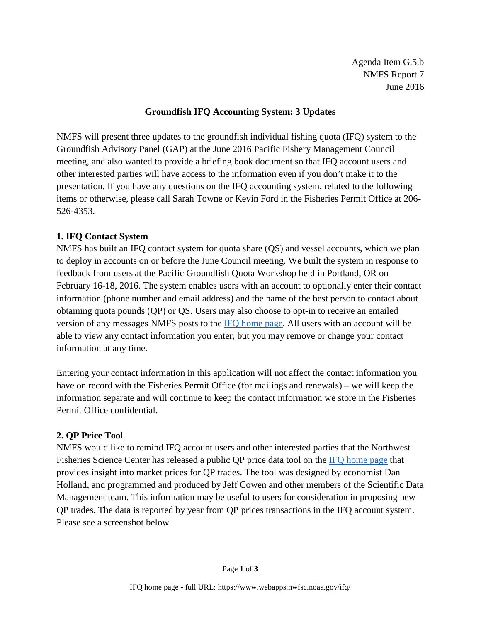Agenda Item G.5.b NMFS Report 7 June 2016

## **Groundfish IFQ Accounting System: 3 Updates**

NMFS will present three updates to the groundfish individual fishing quota (IFQ) system to the Groundfish Advisory Panel (GAP) at the June 2016 Pacific Fishery Management Council meeting, and also wanted to provide a briefing book document so that IFQ account users and other interested parties will have access to the information even if you don't make it to the presentation. If you have any questions on the IFQ accounting system, related to the following items or otherwise, please call Sarah Towne or Kevin Ford in the Fisheries Permit Office at 206- 526-4353.

## **1. IFQ Contact System**

NMFS has built an IFQ contact system for quota share (QS) and vessel accounts, which we plan to deploy in accounts on or before the June Council meeting. We built the system in response to feedback from users at the Pacific Groundfish Quota Workshop held in Portland, OR on February 16-18, 2016. The system enables users with an account to optionally enter their contact information (phone number and email address) and the name of the best person to contact about obtaining quota pounds (QP) or QS. Users may also choose to opt-in to receive an emailed version of any messages NMFS posts to the [IFQ home page.](https://www.webapps.nwfsc.noaa.gov/ifq/) All users with an account will be able to view any contact information you enter, but you may remove or change your contact information at any time.

Entering your contact information in this application will not affect the contact information you have on record with the Fisheries Permit Office (for mailings and renewals) – we will keep the information separate and will continue to keep the contact information we store in the Fisheries Permit Office confidential.

## **2. QP Price Tool**

NMFS would like to remind IFQ account users and other interested parties that the Northwest Fisheries Science Center has released a public QP price data tool on the [IFQ home page](https://www.webapps.nwfsc.noaa.gov/ifq/) that provides insight into market prices for QP trades. The tool was designed by economist Dan Holland, and programmed and produced by Jeff Cowen and other members of the Scientific Data Management team. This information may be useful to users for consideration in proposing new QP trades. The data is reported by year from QP prices transactions in the IFQ account system. Please see a screenshot below.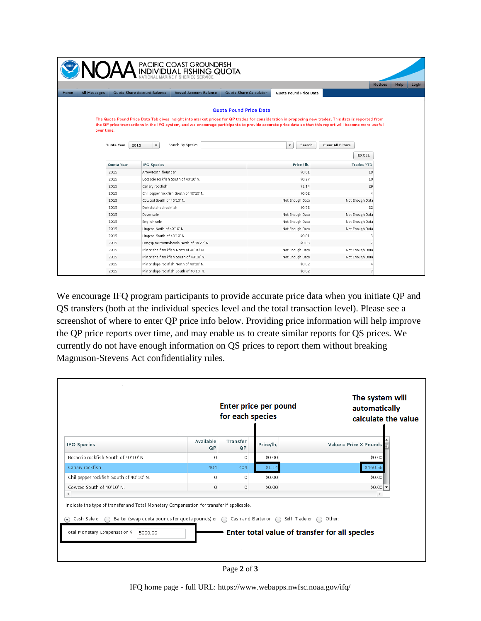|                               | PACIFIC COAST GROUNDFISH<br>INDIVIDUAL FISHING QUOTA |                                         |                                                                                                                                                                                                                                                                                                                                               |                          |                        |                   |                 |
|-------------------------------|------------------------------------------------------|-----------------------------------------|-----------------------------------------------------------------------------------------------------------------------------------------------------------------------------------------------------------------------------------------------------------------------------------------------------------------------------------------------|--------------------------|------------------------|-------------------|-----------------|
|                               |                                                      |                                         |                                                                                                                                                                                                                                                                                                                                               |                          |                        |                   | <b>Notices</b>  |
| All Messages                  | Quota Share Account Balance                          | <b>Vessel Account Balance</b>           | Quota Share Calculator                                                                                                                                                                                                                                                                                                                        |                          | Quota Pound Price Data |                   |                 |
| over time.                    |                                                      |                                         | <b>Quota Pound Price Data</b><br>The Quota Pound Price Data Tab gives insight into market prices for QP trades for consideration in proposing new trades. This data is reported from<br>the QP price transactions in the IFQ system, and we encourage participants to provide accurate price data so that this report will become more useful |                          |                        |                   |                 |
| Quota Year                    | 2015<br>$\blacktriangledown$                         | Search By Species                       |                                                                                                                                                                                                                                                                                                                                               | $\overline{\phantom{a}}$ | Search                 | Clear All Filters |                 |
|                               |                                                      |                                         |                                                                                                                                                                                                                                                                                                                                               |                          |                        |                   | <b>EXCEL</b>    |
|                               |                                                      |                                         |                                                                                                                                                                                                                                                                                                                                               |                          |                        |                   |                 |
| Quota Year                    | <b>IFQ Species</b>                                   |                                         |                                                                                                                                                                                                                                                                                                                                               | Price / lb.              |                        | <b>Trades YTD</b> |                 |
| 2015                          | Arrowtooth flounder                                  |                                         |                                                                                                                                                                                                                                                                                                                                               |                          | \$0.01                 |                   | 19              |
| 2015                          | Bocaccio rockfish South of 40'10' N.                 |                                         |                                                                                                                                                                                                                                                                                                                                               | \$0.27                   |                        |                   | 10              |
| 2015                          | Canary rockfish                                      |                                         |                                                                                                                                                                                                                                                                                                                                               | \$1.14                   |                        |                   | 29              |
| 2015                          |                                                      | Chilipepper rockfish South of 40'10' N. |                                                                                                                                                                                                                                                                                                                                               | \$0.02                   |                        |                   |                 |
| 2015                          | Cowcod South of 40'10' N.                            |                                         |                                                                                                                                                                                                                                                                                                                                               | Not Enough Data          |                        |                   | Not Enough Data |
| Darkblotched rockfish<br>2015 |                                                      | \$0.52                                  |                                                                                                                                                                                                                                                                                                                                               |                          | 22                     |                   |                 |
| 2015                          | Dover sole                                           |                                         |                                                                                                                                                                                                                                                                                                                                               | Not Enough Data          |                        |                   | Not Enough Data |
| 2015                          | English sole                                         |                                         |                                                                                                                                                                                                                                                                                                                                               | Not Enough Data          |                        |                   | Not Enough Data |
| 2015                          | Lingcod North of 40'10' N.                           |                                         | Not Enough Data                                                                                                                                                                                                                                                                                                                               |                          |                        |                   | Not Enough Data |
| 2015                          | Lingcod South of 40'10' N.                           |                                         | \$0.01                                                                                                                                                                                                                                                                                                                                        |                          |                        |                   |                 |
| 2015                          | Longspine thornyheads North of 34'27' N.             |                                         | \$0.03                                                                                                                                                                                                                                                                                                                                        |                          |                        |                   |                 |
|                               | Minor shelf rockfish North of 40'10' N.              |                                         |                                                                                                                                                                                                                                                                                                                                               |                          | Not Enough Data        |                   | Not Enough Data |
| 2015                          |                                                      |                                         |                                                                                                                                                                                                                                                                                                                                               |                          |                        |                   |                 |
| 2015                          | Minor shelf rockfish South of 40'10' N.              |                                         |                                                                                                                                                                                                                                                                                                                                               |                          | Not Enough Data        |                   | Not Enough Data |
| 2015                          | Minor slope rockfish North of 40'10' N.              |                                         |                                                                                                                                                                                                                                                                                                                                               |                          | \$0.02                 |                   |                 |

We encourage IFQ program participants to provide accurate price data when you initiate QP and QS transfers (both at the individual species level and the total transaction level). Please see a screenshot of where to enter QP price info below. Providing price information will help improve the QP price reports over time, and may enable us to create similar reports for QS prices. We currently do not have enough information on QS prices to report them without breaking Magnuson-Stevens Act confidentiality rules.



Page **2** of **3**